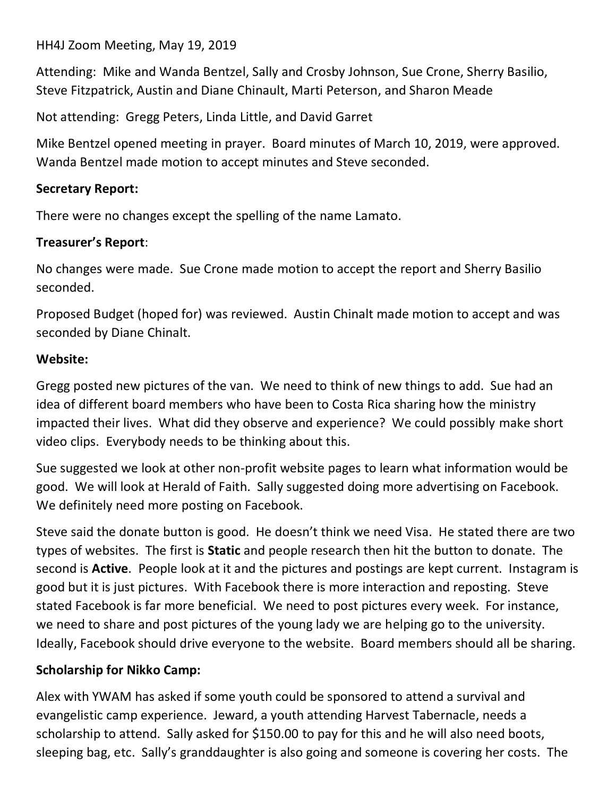HH4J Zoom Meeting, May 19, 2019

Attending: Mike and Wanda Bentzel, Sally and Crosby Johnson, Sue Crone, Sherry Basilio, Steve Fitzpatrick, Austin and Diane Chinault, Marti Peterson, and Sharon Meade

Not attending: Gregg Peters, Linda Little, and David Garret

Mike Bentzel opened meeting in prayer. Board minutes of March 10, 2019, were approved. Wanda Bentzel made motion to accept minutes and Steve seconded.

#### **Secretary Report:**

There were no changes except the spelling of the name Lamato.

### **Treasurer's Report**:

No changes were made. Sue Crone made motion to accept the report and Sherry Basilio seconded.

Proposed Budget (hoped for) was reviewed. Austin Chinalt made motion to accept and was seconded by Diane Chinalt.

#### **Website:**

Gregg posted new pictures of the van. We need to think of new things to add. Sue had an idea of different board members who have been to Costa Rica sharing how the ministry impacted their lives. What did they observe and experience? We could possibly make short video clips. Everybody needs to be thinking about this.

Sue suggested we look at other non-profit website pages to learn what information would be good. We will look at Herald of Faith. Sally suggested doing more advertising on Facebook. We definitely need more posting on Facebook.

Steve said the donate button is good. He doesn't think we need Visa. He stated there are two types of websites. The first is **Static** and people research then hit the button to donate. The second is **Active**. People look at it and the pictures and postings are kept current. Instagram is good but it is just pictures. With Facebook there is more interaction and reposting. Steve stated Facebook is far more beneficial. We need to post pictures every week. For instance, we need to share and post pictures of the young lady we are helping go to the university. Ideally, Facebook should drive everyone to the website. Board members should all be sharing.

#### **Scholarship for Nikko Camp:**

Alex with YWAM has asked if some youth could be sponsored to attend a survival and evangelistic camp experience. Jeward, a youth attending Harvest Tabernacle, needs a scholarship to attend. Sally asked for \$150.00 to pay for this and he will also need boots, sleeping bag, etc. Sally's granddaughter is also going and someone is covering her costs. The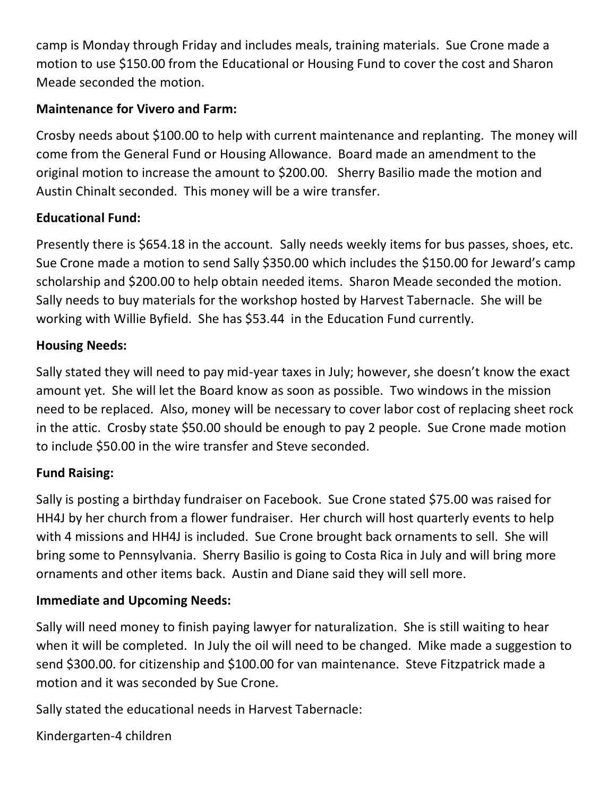camp is Monday through Friday and includes meals, training materials. Sue Crone made a motion to use \$150.00 from the Educational or Housing Fund to cover the cost and Sharon Meade seconded the motion.

## **Maintenance for Vivero and Farm:**

Crosby needs about \$100.00 to help with current maintenance and replanting. The money will come from the General Fund or Housing Allowance. Board made an amendment to the original motion to increase the amount to \$200.00. Sherry Basilio made the motion and Austin Chinalt seconded. This money will be a wire transfer.

## **Educational Fund:**

Presently there is \$654.18 in the account. Sally needs weekly items for bus passes, shoes, etc. Sue Crone made a motion to send Sally \$350.00 which includes the \$150.00 for Jeward's camp scholarship and \$200.00 to help obtain needed items. Sharon Meade seconded the motion. Sally needs to buy materials for the workshop hosted by Harvest Tabernacle. She will be working with Willie Byfield. She has \$53.44 in the Education Fund currently.

### **Housing Needs:**

Sally stated they will need to pay mid-year taxes in July; however, she doesn't know the exact amount yet. She will let the Board know as soon as possible. Two windows in the mission need to be replaced. Also, money will be necessary to cover labor cost of replacing sheet rock in the attic. Crosby state \$50.00 should be enough to pay 2 people. Sue Crone made motion to include \$50.00 in the wire transfer and Steve seconded.

### **Fund Raising:**

Sally is posting a birthday fundraiser on Facebook. Sue Crone stated \$75.00 was raised for HH4J by her church from a flower fundraiser. Her church will host quarterly events to help with 4 missions and HH4J is included. Sue Crone brought back ornaments to sell. She will bring some to Pennsylvania. Sherry Basilio is going to Costa Rica in July and will bring more ornaments and other items back. Austin and Diane said they will sell more.

### **Immediate and Upcoming Needs:**

Sally will need money to finish paying lawyer for naturalization. She is still waiting to hear when it will be completed. In July the oil will need to be changed. Mike made a suggestion to send \$300.00. for citizenship and \$100.00 for van maintenance. Steve Fitzpatrick made a motion and it was seconded by Sue Crone.

Sally stated the educational needs in Harvest Tabernacle:

Kindergarten-4 children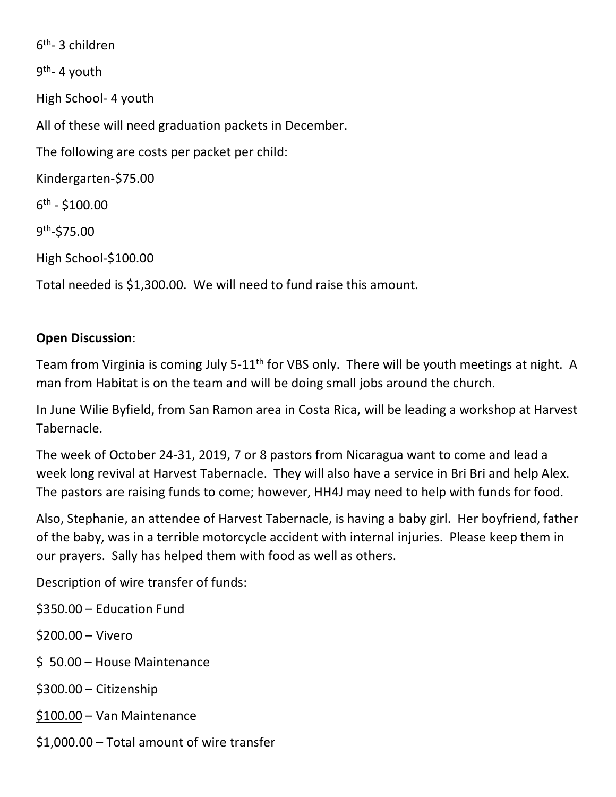6<sup>th</sup>- 3 children 9<sup>th</sup>- 4 youth High School- 4 youth All of these will need graduation packets in December. The following are costs per packet per child: Kindergarten-\$75.00  $6^{\text{th}}$  - \$100.00 9<sup>th</sup>-\$75.00 High School-\$100.00

Total needed is \$1,300.00. We will need to fund raise this amount.

## **Open Discussion**:

Team from Virginia is coming July 5-11<sup>th</sup> for VBS only. There will be youth meetings at night. A man from Habitat is on the team and will be doing small jobs around the church.

In June Wilie Byfield, from San Ramon area in Costa Rica, will be leading a workshop at Harvest Tabernacle.

The week of October 24-31, 2019, 7 or 8 pastors from Nicaragua want to come and lead a week long revival at Harvest Tabernacle. They will also have a service in Bri Bri and help Alex. The pastors are raising funds to come; however, HH4J may need to help with funds for food.

Also, Stephanie, an attendee of Harvest Tabernacle, is having a baby girl. Her boyfriend, father of the baby, was in a terrible motorcycle accident with internal injuries. Please keep them in our prayers. Sally has helped them with food as well as others.

Description of wire transfer of funds:

\$350.00 – Education Fund

\$200.00 – Vivero

\$ 50.00 – House Maintenance

\$300.00 – Citizenship

- \$100.00 Van Maintenance
- \$1,000.00 Total amount of wire transfer